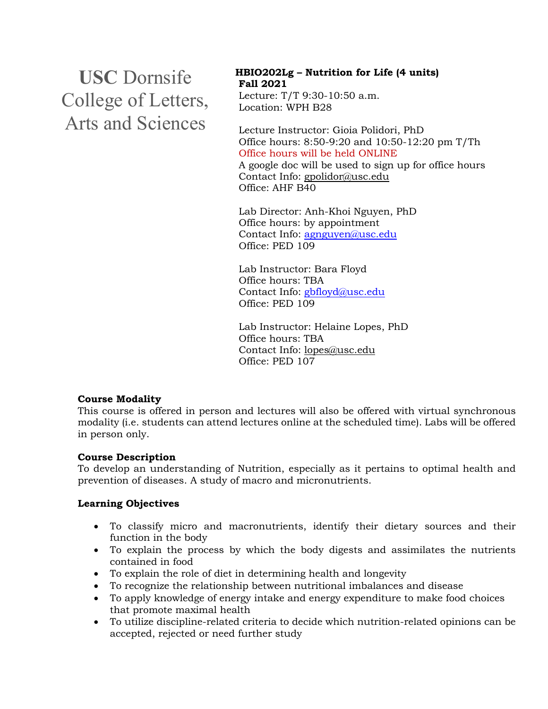**USC** Dornsife College of Letters, Arts and Sciences

# **HBIO202Lg – Nutrition for Life (4 units) Fall 2021** Lecture: T/T 9:30-10:50 a.m.

Location: WPH B28

Lecture Instructor: Gioia Polidori, PhD Office hours: 8:50-9:20 and 10:50-12:20 pm T/Th Office hours will be held ONLINE A google doc will be used to sign up for office hours Contact Info: gpolidor@usc.edu Office: AHF B40

Lab Director: Anh-Khoi Nguyen, PhD Office hours: by appointment Contact Info: agnguyen@usc.edu Office: PED 109

Lab Instructor: Bara Floyd Office hours: TBA Contact Info: gbfloyd@usc.edu Office: PED 109

Lab Instructor: Helaine Lopes, PhD Office hours: TBA Contact Info: lopes@usc.edu Office: PED 107

## **Course Modality**

This course is offered in person and lectures will also be offered with virtual synchronous modality (i.e. students can attend lectures online at the scheduled time). Labs will be offered in person only.

## **Course Description**

To develop an understanding of Nutrition, especially as it pertains to optimal health and prevention of diseases. A study of macro and micronutrients.

## **Learning Objectives**

- To classify micro and macronutrients, identify their dietary sources and their function in the body
- To explain the process by which the body digests and assimilates the nutrients contained in food
- To explain the role of diet in determining health and longevity
- To recognize the relationship between nutritional imbalances and disease
- To apply knowledge of energy intake and energy expenditure to make food choices that promote maximal health
- To utilize discipline-related criteria to decide which nutrition-related opinions can be accepted, rejected or need further study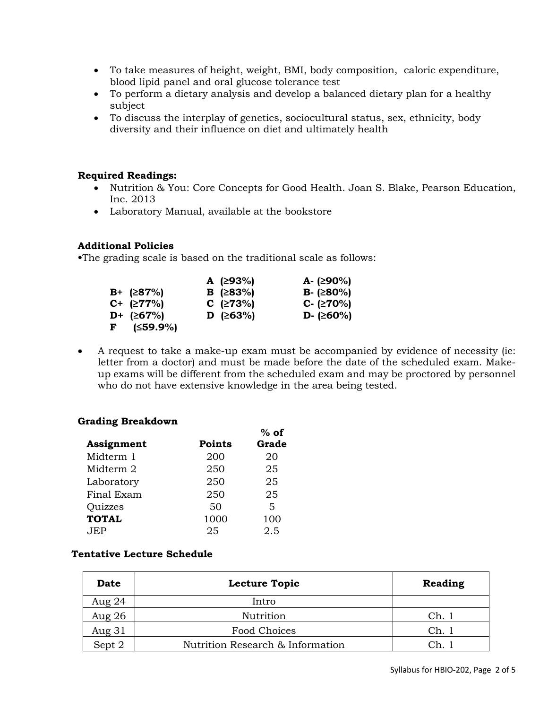- To take measures of height, weight, BMI, body composition, caloric expenditure, blood lipid panel and oral glucose tolerance test
- To perform a dietary analysis and develop a balanced dietary plan for a healthy subject
- To discuss the interplay of genetics, sociocultural status, sex, ethnicity, body diversity and their influence on diet and ultimately health

#### **Required Readings:**

- Nutrition & You: Core Concepts for Good Health. Joan S. Blake, Pearson Education, Inc. 2013
- Laboratory Manual, available at the bookstore

#### **Additional Policies**

**•**The grading scale is based on the traditional scale as follows:

|                     | A $(293%)$        | A- $(≥90%)$         |
|---------------------|-------------------|---------------------|
| $B+$ ( $\geq$ 87%)  | <b>B</b> (≥83%)   | <b>B</b> - $(≥80%)$ |
| $C+$ ( $\geq$ 77%)  | $C$ ( $\geq$ 73%) | $C - (270%)$        |
| $D^+$ (267%)        | <b>D</b> (≥63%)   | D- $(≥60%)$         |
| $F$ ( $\leq$ 59.9%) |                   |                     |

• A request to take a make-up exam must be accompanied by evidence of necessity (ie: letter from a doctor) and must be made before the date of the scheduled exam. Makeup exams will be different from the scheduled exam and may be proctored by personnel who do not have extensive knowledge in the area being tested.

#### **Grading Breakdown**

|                |               | $%$ of |
|----------------|---------------|--------|
| Assignment     | <b>Points</b> | Grade  |
| Midterm 1      | 200           | 20     |
| Midterm 2      | 250           | 25     |
| Laboratory     | 250           | 25     |
| Final Exam     | 250           | 25     |
| <b>Quizzes</b> | 50            | 5      |
| <b>TOTAL</b>   | 1000          | 100    |
| JEP.           | 25            | 2.5    |

## **Tentative Lecture Schedule**

| <b>Date</b> | <b>Lecture Topic</b>             | Reading |
|-------------|----------------------------------|---------|
| Aug $24$    | Intro                            |         |
| Aug 26      | Nutrition                        | Ch.1    |
| Aug 31      | Food Choices                     | Ch.     |
| Sept 2      | Nutrition Research & Information |         |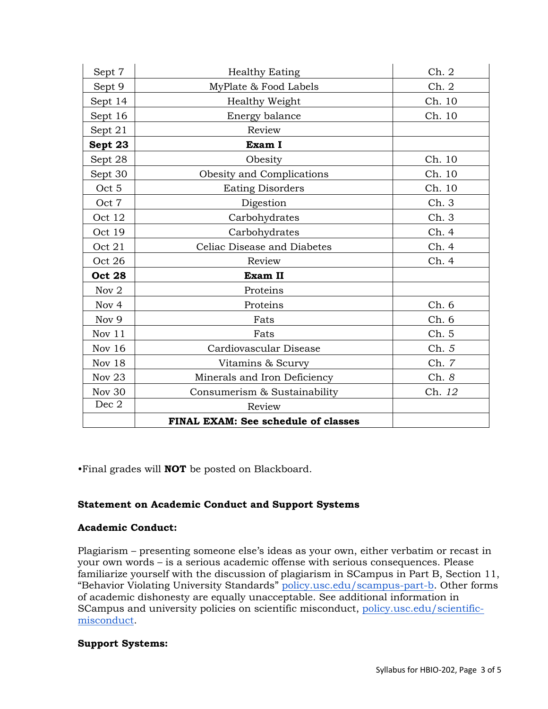| Sept 7        | <b>Healthy Eating</b>               | Ch.2   |
|---------------|-------------------------------------|--------|
| Sept 9        | MyPlate & Food Labels               | Ch. 2  |
| Sept 14       | Healthy Weight                      | Ch. 10 |
| Sept 16       | Energy balance                      | Ch. 10 |
| Sept 21       | Review                              |        |
| Sept 23       | Exam I                              |        |
| Sept 28       | Obesity                             | Ch. 10 |
| Sept 30       | Obesity and Complications           | Ch. 10 |
| Oct 5         | <b>Eating Disorders</b>             | Ch. 10 |
| Oct 7         | Digestion                           | Ch. 3  |
| Oct 12        | Carbohydrates                       | Ch.3   |
| Oct 19        | Carbohydrates                       | Ch. 4  |
| Oct 21        | Celiac Disease and Diabetes         | Ch. 4  |
| Oct 26        | Review                              | Ch. 4  |
| <b>Oct 28</b> | Exam II                             |        |
| Nov 2         | Proteins                            |        |
| Nov 4         | Proteins                            | Ch.6   |
| Nov 9         | Fats                                | Ch. 6  |
| Nov 11        | Fats                                | Ch. 5  |
| Nov $16$      | Cardiovascular Disease              | Ch. 5  |
| Nov 18        | Vitamins & Scurvy                   | Ch. 7  |
| <b>Nov 23</b> | Minerals and Iron Deficiency        | Ch. 8  |
| Nov 30        | Consumerism & Sustainability        | Ch. 12 |
| Dec 2         | Review                              |        |
|               | FINAL EXAM: See schedule of classes |        |

•Final grades will **NOT** be posted on Blackboard.

## **Statement on Academic Conduct and Support Systems**

## **Academic Conduct:**

Plagiarism – presenting someone else's ideas as your own, either verbatim or recast in your own words – is a serious academic offense with serious consequences. Please familiarize yourself with the discussion of plagiarism in SCampus in Part B, Section 11, "Behavior Violating University Standards" policy.usc.edu/scampus-part-b. Other forms of academic dishonesty are equally unacceptable. See additional information in SCampus and university policies on scientific misconduct, policy.usc.edu/scientificmisconduct.

## **Support Systems:**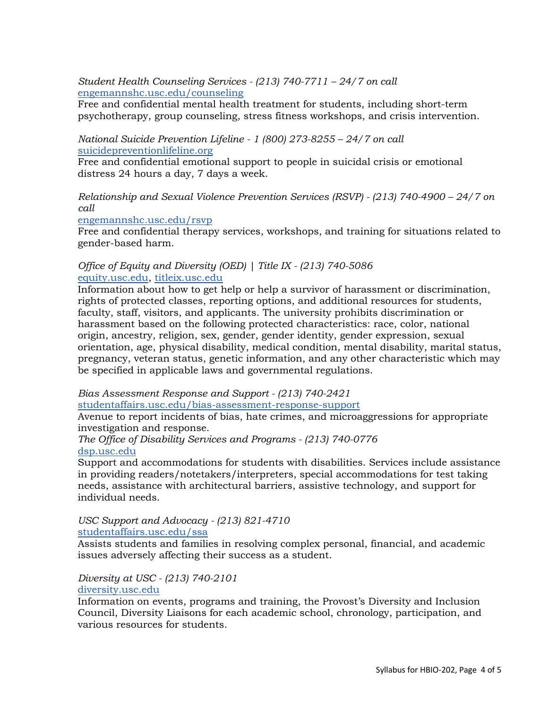*Student Health Counseling Services - (213) 740-7711 – 24/7 on call* engemannshc.usc.edu/counseling

Free and confidential mental health treatment for students, including short-term psychotherapy, group counseling, stress fitness workshops, and crisis intervention.

*National Suicide Prevention Lifeline - 1 (800) 273-8255 – 24/7 on call* suicidepreventionlifeline.org

Free and confidential emotional support to people in suicidal crisis or emotional distress 24 hours a day, 7 days a week.

*Relationship and Sexual Violence Prevention Services (RSVP) - (213) 740-4900 – 24/7 on call*

engemannshc.usc.edu/rsvp

Free and confidential therapy services, workshops, and training for situations related to gender-based harm.

#### *Office of Equity and Diversity (OED) | Title IX - (213) 740-5086* equity.usc.edu, titleix.usc.edu

Information about how to get help or help a survivor of harassment or discrimination, rights of protected classes, reporting options, and additional resources for students, faculty, staff, visitors, and applicants. The university prohibits discrimination or harassment based on the following protected characteristics: race, color, national origin, ancestry, religion, sex, gender, gender identity, gender expression, sexual orientation, age, physical disability, medical condition, mental disability, marital status, pregnancy, veteran status, genetic information, and any other characteristic which may be specified in applicable laws and governmental regulations.

*Bias Assessment Response and Support - (213) 740-2421*

studentaffairs.usc.edu/bias-assessment-response-support

Avenue to report incidents of bias, hate crimes, and microaggressions for appropriate investigation and response.

*The Office of Disability Services and Programs - (213) 740-0776* dsp.usc.edu

Support and accommodations for students with disabilities. Services include assistance in providing readers/notetakers/interpreters, special accommodations for test taking needs, assistance with architectural barriers, assistive technology, and support for individual needs.

#### *USC Support and Advocacy - (213) 821-4710* studentaffairs.usc.edu/ssa

Assists students and families in resolving complex personal, financial, and academic issues adversely affecting their success as a student.

# *Diversity at USC - (213) 740-2101*

# diversity.usc.edu

Information on events, programs and training, the Provost's Diversity and Inclusion Council, Diversity Liaisons for each academic school, chronology, participation, and various resources for students.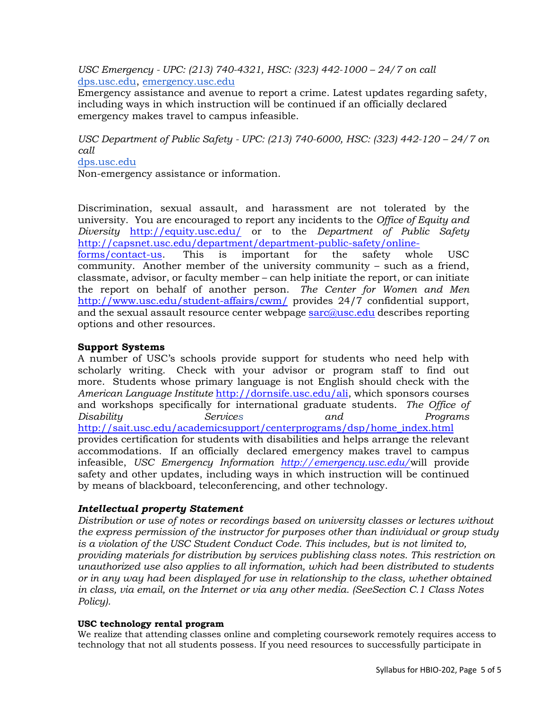*USC Emergency - UPC: (213) 740-4321, HSC: (323) 442-1000 – 24/7 on call*  dps.usc.edu, emergency.usc.edu

Emergency assistance and avenue to report a crime. Latest updates regarding safety, including ways in which instruction will be continued if an officially declared emergency makes travel to campus infeasible.

*USC Department of Public Safety - UPC: (213) 740-6000, HSC: (323) 442-120 – 24/7 on call* 

dps.usc.edu

Non-emergency assistance or information.

Discrimination, sexual assault, and harassment are not tolerated by the university. You are encouraged to report any incidents to the *Office of Equity and Diversity* http://equity.usc.edu/ or to the *Department of Public Safety* http://capsnet.usc.edu/department/department-public-safety/onlineforms/contact-us. This is important for the safety whole USC community. Another member of the university community – such as a friend, classmate, advisor, or faculty member – can help initiate the report, or can initiate the report on behalf of another person. *The Center for Women and Men* 

http://www.usc.edu/student-affairs/cwm/ provides 24/7 confidential support, and the sexual assault resource center webpage  $\frac{\text{sar}}{\text{Q}$ usc.edu describes reporting options and other resources.

# **Support Systems**

A number of USC's schools provide support for students who need help with scholarly writing. Check with your advisor or program staff to find out more. Students whose primary language is not English should check with the *American Language Institute* http://dornsife.usc.edu/ali, which sponsors courses and workshops specifically for international graduate students. *The Office of Disability Services and Programs*  http://sait.usc.edu/academicsupport/centerprograms/dsp/home\_index.html provides certification for students with disabilities and helps arrange the relevant accommodations. If an officially declared emergency makes travel to campus infeasible, *USC Emergency Information http://emergency.usc.edu/*will provide safety and other updates, including ways in which instruction will be continued by means of blackboard, teleconferencing, and other technology.

# *Intellectual property Statement*

*Distribution or use of notes or recordings based on university classes or lectures without the express permission of the instructor for purposes other than individual or group study is a violation of the USC Student Conduct Code. This includes, but is not limited to, providing materials for distribution by services publishing class notes. This restriction on unauthorized use also applies to all information, which had been distributed to students or in any way had been displayed for use in relationship to the class, whether obtained in class, via email, on the Internet or via any other media. (SeeSection C.1 Class Notes Policy).*

#### **USC technology rental program**

We realize that attending classes online and completing coursework remotely requires access to technology that not all students possess. If you need resources to successfully participate in